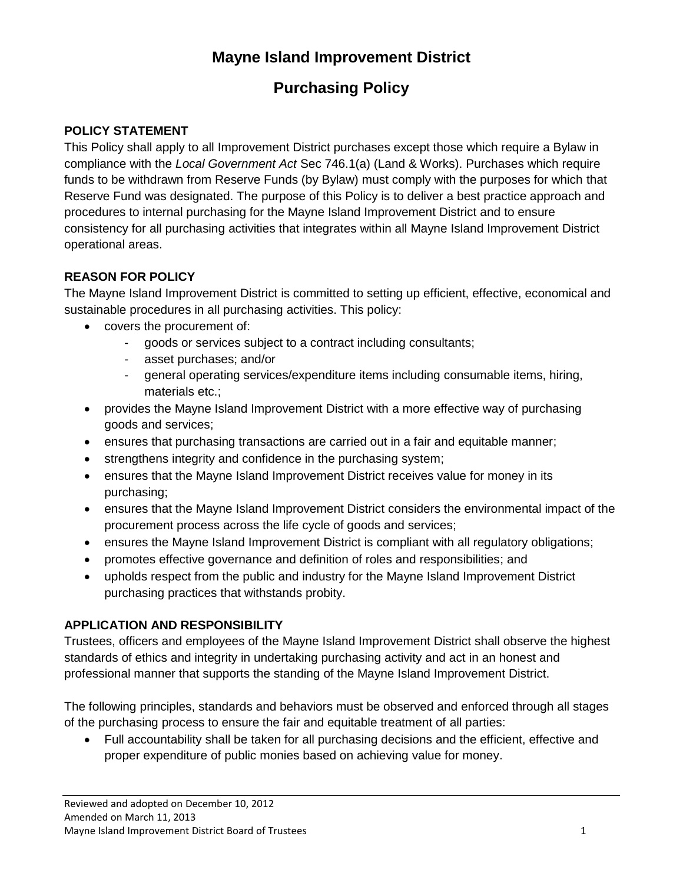# **Mayne Island Improvement District**

# **Purchasing Policy**

### **POLICY STATEMENT**

This Policy shall apply to all Improvement District purchases except those which require a Bylaw in compliance with the *Local Government Act* Sec 746.1(a) (Land & Works). Purchases which require funds to be withdrawn from Reserve Funds (by Bylaw) must comply with the purposes for which that Reserve Fund was designated. The purpose of this Policy is to deliver a best practice approach and procedures to internal purchasing for the Mayne Island Improvement District and to ensure consistency for all purchasing activities that integrates within all Mayne Island Improvement District operational areas.

## **REASON FOR POLICY**

The Mayne Island Improvement District is committed to setting up efficient, effective, economical and sustainable procedures in all purchasing activities. This policy:

- covers the procurement of:
	- goods or services subject to a contract including consultants;
	- asset purchases; and/or
	- general operating services/expenditure items including consumable items, hiring, materials etc.;
- provides the Mayne Island Improvement District with a more effective way of purchasing goods and services;
- ensures that purchasing transactions are carried out in a fair and equitable manner;
- strengthens integrity and confidence in the purchasing system;
- ensures that the Mayne Island Improvement District receives value for money in its purchasing;
- ensures that the Mayne Island Improvement District considers the environmental impact of the procurement process across the life cycle of goods and services;
- ensures the Mayne Island Improvement District is compliant with all regulatory obligations;
- promotes effective governance and definition of roles and responsibilities; and
- upholds respect from the public and industry for the Mayne Island Improvement District purchasing practices that withstands probity.

## **APPLICATION AND RESPONSIBILITY**

Trustees, officers and employees of the Mayne Island Improvement District shall observe the highest standards of ethics and integrity in undertaking purchasing activity and act in an honest and professional manner that supports the standing of the Mayne Island Improvement District.

The following principles, standards and behaviors must be observed and enforced through all stages of the purchasing process to ensure the fair and equitable treatment of all parties:

• Full accountability shall be taken for all purchasing decisions and the efficient, effective and proper expenditure of public monies based on achieving value for money.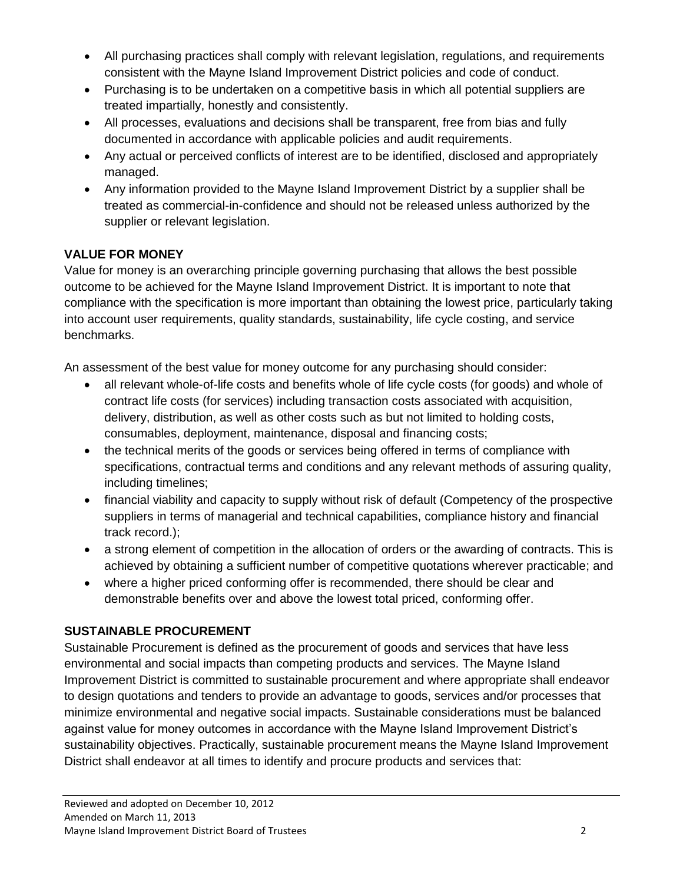- All purchasing practices shall comply with relevant legislation, regulations, and requirements consistent with the Mayne Island Improvement District policies and code of conduct.
- Purchasing is to be undertaken on a competitive basis in which all potential suppliers are treated impartially, honestly and consistently.
- All processes, evaluations and decisions shall be transparent, free from bias and fully documented in accordance with applicable policies and audit requirements.
- Any actual or perceived conflicts of interest are to be identified, disclosed and appropriately managed.
- Any information provided to the Mayne Island Improvement District by a supplier shall be treated as commercial-in-confidence and should not be released unless authorized by the supplier or relevant legislation.

# **VALUE FOR MONEY**

Value for money is an overarching principle governing purchasing that allows the best possible outcome to be achieved for the Mayne Island Improvement District. It is important to note that compliance with the specification is more important than obtaining the lowest price, particularly taking into account user requirements, quality standards, sustainability, life cycle costing, and service benchmarks.

An assessment of the best value for money outcome for any purchasing should consider:

- all relevant whole-of-life costs and benefits whole of life cycle costs (for goods) and whole of contract life costs (for services) including transaction costs associated with acquisition, delivery, distribution, as well as other costs such as but not limited to holding costs, consumables, deployment, maintenance, disposal and financing costs;
- the technical merits of the goods or services being offered in terms of compliance with specifications, contractual terms and conditions and any relevant methods of assuring quality, including timelines;
- financial viability and capacity to supply without risk of default (Competency of the prospective suppliers in terms of managerial and technical capabilities, compliance history and financial track record.);
- a strong element of competition in the allocation of orders or the awarding of contracts. This is achieved by obtaining a sufficient number of competitive quotations wherever practicable; and
- where a higher priced conforming offer is recommended, there should be clear and demonstrable benefits over and above the lowest total priced, conforming offer.

# **SUSTAINABLE PROCUREMENT**

Sustainable Procurement is defined as the procurement of goods and services that have less environmental and social impacts than competing products and services. The Mayne Island Improvement District is committed to sustainable procurement and where appropriate shall endeavor to design quotations and tenders to provide an advantage to goods, services and/or processes that minimize environmental and negative social impacts. Sustainable considerations must be balanced against value for money outcomes in accordance with the Mayne Island Improvement District's sustainability objectives. Practically, sustainable procurement means the Mayne Island Improvement District shall endeavor at all times to identify and procure products and services that: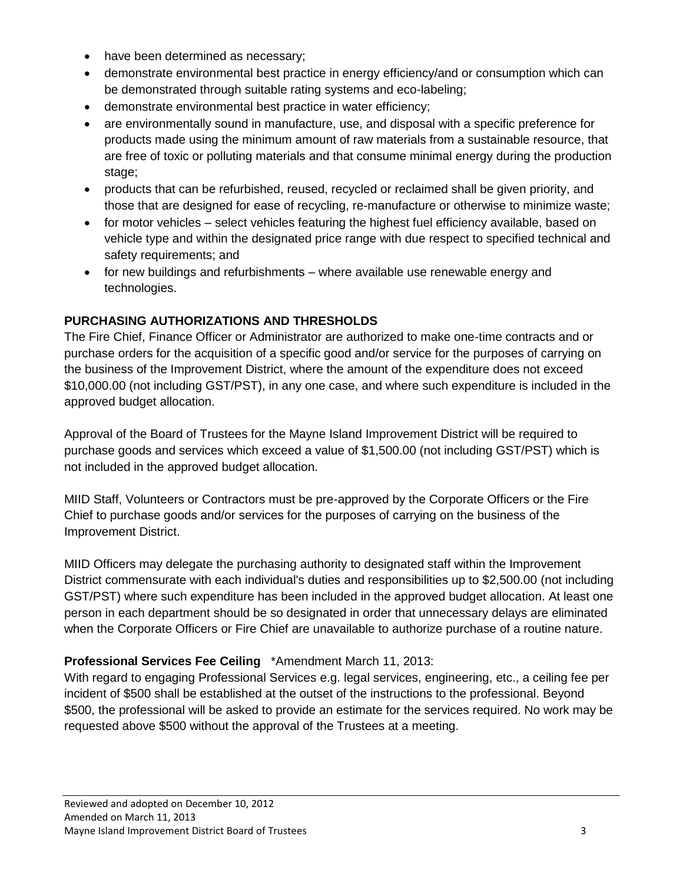- have been determined as necessary;
- demonstrate environmental best practice in energy efficiency/and or consumption which can be demonstrated through suitable rating systems and eco-labeling;
- demonstrate environmental best practice in water efficiency;
- are environmentally sound in manufacture, use, and disposal with a specific preference for products made using the minimum amount of raw materials from a sustainable resource, that are free of toxic or polluting materials and that consume minimal energy during the production stage;
- products that can be refurbished, reused, recycled or reclaimed shall be given priority, and those that are designed for ease of recycling, re-manufacture or otherwise to minimize waste;
- for motor vehicles select vehicles featuring the highest fuel efficiency available, based on vehicle type and within the designated price range with due respect to specified technical and safety requirements; and
- for new buildings and refurbishments where available use renewable energy and technologies.

# **PURCHASING AUTHORIZATIONS AND THRESHOLDS**

The Fire Chief, Finance Officer or Administrator are authorized to make one-time contracts and or purchase orders for the acquisition of a specific good and/or service for the purposes of carrying on the business of the Improvement District, where the amount of the expenditure does not exceed \$10,000.00 (not including GST/PST), in any one case, and where such expenditure is included in the approved budget allocation.

Approval of the Board of Trustees for the Mayne Island Improvement District will be required to purchase goods and services which exceed a value of \$1,500.00 (not including GST/PST) which is not included in the approved budget allocation.

MIID Staff, Volunteers or Contractors must be pre-approved by the Corporate Officers or the Fire Chief to purchase goods and/or services for the purposes of carrying on the business of the Improvement District.

MIID Officers may delegate the purchasing authority to designated staff within the Improvement District commensurate with each individual's duties and responsibilities up to \$2,500.00 (not including GST/PST) where such expenditure has been included in the approved budget allocation. At least one person in each department should be so designated in order that unnecessary delays are eliminated when the Corporate Officers or Fire Chief are unavailable to authorize purchase of a routine nature.

# **Professional Services Fee Ceiling** \*Amendment March 11, 2013:

With regard to engaging Professional Services e.g. legal services, engineering, etc., a ceiling fee per incident of \$500 shall be established at the outset of the instructions to the professional. Beyond \$500, the professional will be asked to provide an estimate for the services required. No work may be requested above \$500 without the approval of the Trustees at a meeting.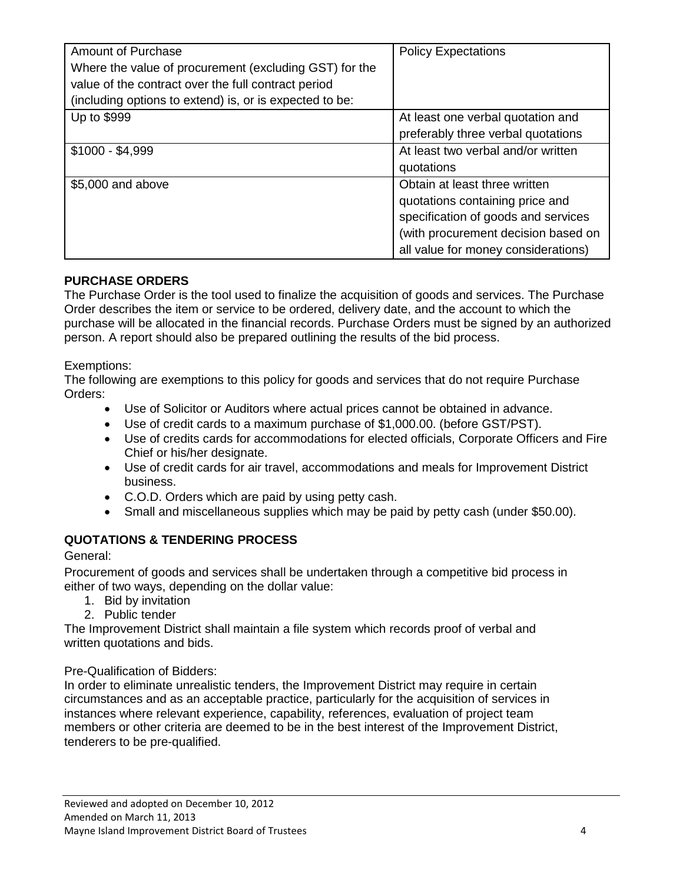| <b>Amount of Purchase</b><br>Where the value of procurement (excluding GST) for the<br>value of the contract over the full contract period<br>(including options to extend) is, or is expected to be: | <b>Policy Expectations</b>          |
|-------------------------------------------------------------------------------------------------------------------------------------------------------------------------------------------------------|-------------------------------------|
| Up to \$999                                                                                                                                                                                           | At least one verbal quotation and   |
|                                                                                                                                                                                                       | preferably three verbal quotations  |
| $$1000 - $4,999$                                                                                                                                                                                      | At least two verbal and/or written  |
|                                                                                                                                                                                                       | quotations                          |
| \$5,000 and above                                                                                                                                                                                     | Obtain at least three written       |
|                                                                                                                                                                                                       | quotations containing price and     |
|                                                                                                                                                                                                       | specification of goods and services |
|                                                                                                                                                                                                       | (with procurement decision based on |
|                                                                                                                                                                                                       | all value for money considerations) |

#### **PURCHASE ORDERS**

The Purchase Order is the tool used to finalize the acquisition of goods and services. The Purchase Order describes the item or service to be ordered, delivery date, and the account to which the purchase will be allocated in the financial records. Purchase Orders must be signed by an authorized person. A report should also be prepared outlining the results of the bid process.

#### Exemptions:

The following are exemptions to this policy for goods and services that do not require Purchase Orders:

- Use of Solicitor or Auditors where actual prices cannot be obtained in advance.
- Use of credit cards to a maximum purchase of \$1,000.00. (before GST/PST).
- Use of credits cards for accommodations for elected officials, Corporate Officers and Fire Chief or his/her designate.
- Use of credit cards for air travel, accommodations and meals for Improvement District business.
- C.O.D. Orders which are paid by using petty cash.
- Small and miscellaneous supplies which may be paid by petty cash (under \$50.00).

#### **QUOTATIONS & TENDERING PROCESS**

General:

Procurement of goods and services shall be undertaken through a competitive bid process in either of two ways, depending on the dollar value:

- 1. Bid by invitation
- 2. Public tender

The Improvement District shall maintain a file system which records proof of verbal and written quotations and bids.

#### Pre-Qualification of Bidders:

In order to eliminate unrealistic tenders, the Improvement District may require in certain circumstances and as an acceptable practice, particularly for the acquisition of services in instances where relevant experience, capability, references, evaluation of project team members or other criteria are deemed to be in the best interest of the Improvement District, tenderers to be pre-qualified.